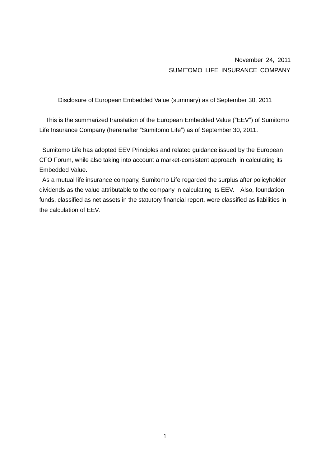November 24, 2011 SUMITOMO LIFE INSURANCE COMPANY

Disclosure of European Embedded Value (summary) as of September 30, 2011

This is the summarized translation of the European Embedded Value ("EEV") of Sumitomo Life Insurance Company (hereinafter "Sumitomo Life") as of September 30, 2011.

Sumitomo Life has adopted EEV Principles and related guidance issued by the European CFO Forum, while also taking into account a market-consistent approach, in calculating its Embedded Value.

As a mutual life insurance company, Sumitomo Life regarded the surplus after policyholder dividends as the value attributable to the company in calculating its EEV. Also, foundation funds, classified as net assets in the statutory financial report, were classified as liabilities in the calculation of EEV.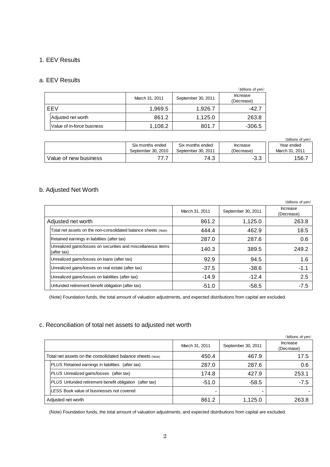### 1. EEV Results

#### a. EEV Results

|     |                            |                |                    | (billions of yen)      |
|-----|----------------------------|----------------|--------------------|------------------------|
|     |                            | March 31, 2011 | September 30, 2011 | Increase<br>(Decrease) |
| EEV |                            | 1,969.5        | 1,926.7            | $-42.7$                |
|     | Adjusted net worth         | 861.2          | 1,125.0            | 263.8                  |
|     | Value of in-force business | 1,108.2        | 801.7              | $-306.5$               |

|                       |                                        |                                        |                        | (billions of ven)            |
|-----------------------|----------------------------------------|----------------------------------------|------------------------|------------------------------|
|                       | Six months ended<br>September 30, 2010 | Six months ended<br>September 30, 2011 | Increase<br>(Decrease) | Year ended<br>March 31, 2011 |
| Value of new business | 77                                     | 74.3                                   | $-3.3$                 | 156                          |

# b. Adjusted Net Worth

|                                                                              |                |                    | (billions of yen)      |
|------------------------------------------------------------------------------|----------------|--------------------|------------------------|
|                                                                              | March 31, 2011 | September 30, 2011 | Increase<br>(Decrease) |
| Adjusted net worth                                                           | 861.2          | 1,125.0            | 263.8                  |
| Total net assets on the non-consolidated balance sheets (Note)               | 444.4          | 462.9              | 18.5                   |
| Retained earnings in liabilities (after tax)                                 | 287.0          | 287.6              | 0.6                    |
| Unrealized gains/losses on securities and miscellaneous items<br>(after tax) | 140.3          | 389.5              | 249.2                  |
| Unrealized gains/losses on loans (after tax)                                 | 92.9           | 94.5               | 1.6                    |
| Unrealized gains/losses on real estate (after tax)                           | $-37.5$        | $-38.6$            | $-1.1$                 |
| Unrealized gains/losses on liabilities (after tax)                           | $-14.9$        | $-12.4$            | 2.5                    |
| Unfunded retirement benefit obligation (after tax)                           | $-51.0$        | $-58.5$            | $-7.5$                 |

(Note) Foundation funds, the total amount of valuation adjustments, and expected distributions from capital are excluded.

### c. Reconciliation of total net assets to adjusted net worth

|                                                            |                                                            |                |                    | (billions of yen)      |
|------------------------------------------------------------|------------------------------------------------------------|----------------|--------------------|------------------------|
|                                                            |                                                            | March 31, 2011 | September 30, 2011 | Increase<br>(Decrease) |
| Total net assets on the consolidated balance sheets (Note) |                                                            | 450.4          | 467.9              | 17.5                   |
|                                                            | PLUS Retained earnings in liabilities<br>(after tax)       | 287.0          | 287.6              | 0.6                    |
|                                                            | PLUS Unrealized gains/losses (after tax)                   | 174.8          | 427.9              | 253.1                  |
|                                                            | PLUS Unfunded retirement benefit obligation<br>(after tax) | $-51.0$        | $-58.5$            | $-7.5$                 |
|                                                            | LESS Book value of businesses not covered                  |                |                    |                        |
|                                                            | Adjusted net worth                                         | 861.2          | 1,125.0            | 263.8                  |

(Note) Foundation funds, the total amount of valuation adjustments, and expected distributions from capital are excluded.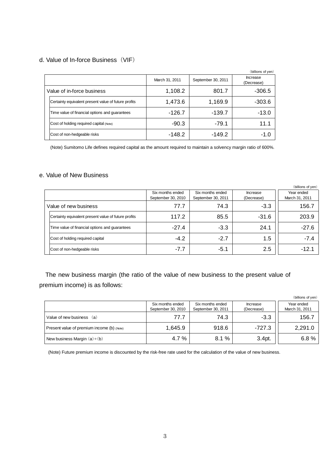## d. Value of In-force Business (VIF)

|                                                      |                |                    | (billions of yen)      |
|------------------------------------------------------|----------------|--------------------|------------------------|
|                                                      | March 31, 2011 | September 30, 2011 | Increase<br>(Decrease) |
| Value of in-force business                           | 1,108.2        | 801.7              | $-306.5$               |
| Certainty equivalent present value of future profits | 1,473.6        | 1,169.9            | $-303.6$               |
| Time value of financial options and quarantees       | $-126.7$       | $-139.7$           | $-13.0$                |
| Cost of holding required capital (Note)              | $-90.3$        | $-79.1$            | 11.1                   |
| Cost of non-hedgeable risks                          | $-148.2$       | $-149.2$           | -1.0                   |

(Note) Sumitomo Life defines required capital as the amount required to maintain a solvency margin ratio of 600%.

#### e. Value of New Business

|                                                      |                                        |                                        |                        | (billions of yen)            |
|------------------------------------------------------|----------------------------------------|----------------------------------------|------------------------|------------------------------|
|                                                      | Six months ended<br>September 30, 2010 | Six months ended<br>September 30, 2011 | Increase<br>(Decrease) | Year ended<br>March 31, 2011 |
|                                                      |                                        |                                        |                        |                              |
| Value of new business                                | 77.7                                   | 74.3                                   | $-3.3$                 | 156.7                        |
| Certainty equivalent present value of future profits | 117.2                                  | 85.5                                   | $-31.6$                | 203.9                        |
| Time value of financial options and guarantees       | $-27.4$                                | $-3.3$                                 | 24.1                   | $-27.6$                      |
| Cost of holding required capital                     | $-4.2$                                 | $-2.7$                                 | 1.5                    | $-7.4$                       |
| Cost of non-hedgeable risks                          | $-7.7$                                 | $-5.1$                                 | 2.5                    | -12.1                        |

The new business margin (the ratio of the value of new business to the present value of premium income) is as follows:

| remium income) is as follows:              |                                        |                                        |                        |                              |  |  |
|--------------------------------------------|----------------------------------------|----------------------------------------|------------------------|------------------------------|--|--|
|                                            |                                        |                                        |                        | (billions of yen)            |  |  |
|                                            | Six months ended<br>September 30, 2010 | Six months ended<br>September 30, 2011 | Increase<br>(Decrease) | Year ended<br>March 31, 2011 |  |  |
| Value of new business (a)                  | 77.7                                   | 74.3                                   | $-3.3$                 | 156.7                        |  |  |
| Present value of premium income (b) (Note) | 1,645.9                                | 918.6                                  | $-727.3$               | 2,291.0                      |  |  |
| New business Margin $(a) \div (b)$         | 4.7 %                                  | 8.1%                                   | 3.4pt.                 | 6.8%                         |  |  |

(Note) Future premium income is discounted by the risk-free rate used for the calculation of the value of new business.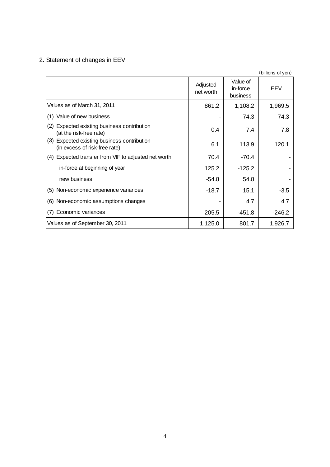# 2. Statement of changes in EEV

|                                                                                 |                       |                                  | (billions of yen) |
|---------------------------------------------------------------------------------|-----------------------|----------------------------------|-------------------|
|                                                                                 | Adjusted<br>net worth | Value of<br>in-force<br>business | EEV               |
| Values as of March 31, 2011                                                     | 861.2                 | 1,108.2                          | 1,969.5           |
| (1) Value of new business                                                       |                       | 74.3                             | 74.3              |
| Expected existing business contribution<br>(2)<br>(at the risk-free rate)       | 0.4                   | 7.4                              | 7.8               |
| (3)<br>Expected existing business contribution<br>(in excess of risk-free rate) | 6.1                   | 113.9                            | 120.1             |
| Expected transfer from VIF to adjusted net worth<br>(4)                         | 70.4                  | $-70.4$                          |                   |
| in-force at beginning of year                                                   | 125.2                 | $-125.2$                         |                   |
| new business                                                                    | -54.8                 | 54.8                             |                   |
| (5) Non-economic experience variances                                           | -18.7                 | 15.1                             | $-3.5$            |
| Non-economic assumptions changes<br>(6)                                         |                       | 4.7                              | 4.7               |
| Economic variances<br>(7)                                                       | 205.5                 | $-451.8$                         | $-246.2$          |
| Values as of September 30, 2011                                                 | 1,125.0               | 801.7                            | 1,926.7           |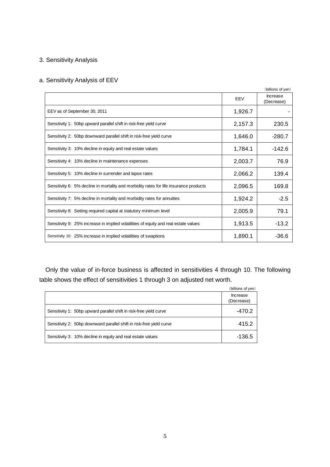# 3. Sensitivity Analysis

# a. Sensitivity Analysis of EEV

|         | (billions of yen)      |
|---------|------------------------|
| EEV     | Increase<br>(Decrease) |
| 1,926.7 |                        |
| 2,157.3 | 230.5                  |
| 1,646.0 | -280.7                 |
| 1,784.1 | $-142.6$               |
| 2,003.7 | 76.9                   |
| 2,066.2 | 139.4                  |
| 2,096.5 | 169.8                  |
| 1,924.2 | $-2.5$                 |
| 2,005.9 | 79.1                   |
| 1,913.5 | $-13.2$                |
| 1,890.1 | $-36.6$                |
|         |                        |

Only the value of in-force business is affected in sensitivities 4 through 10. The following table shows the effect of sensitivities 1 through 3 on adjusted net worth.

|                                                                      | (billions of yen)      |
|----------------------------------------------------------------------|------------------------|
|                                                                      | Increase<br>(Decrease) |
| Sensitivity 1: 50bp upward parallel shift in risk-free yield curve   | $-470.2$               |
| Sensitivity 2: 50bp downward parallel shift in risk-free yield curve | 415.2                  |
| Sensitivity 3: 10% decline in equity and real estate values          | $-136.5$               |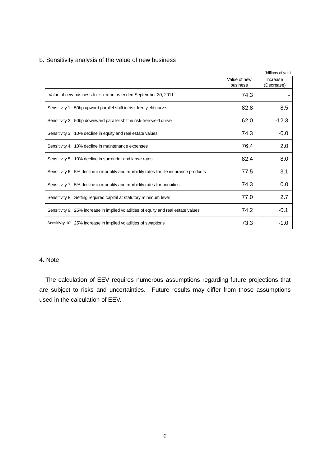|                                                                                        |                          | (billions of yen)      |
|----------------------------------------------------------------------------------------|--------------------------|------------------------|
|                                                                                        | Value of new<br>business | Increase<br>(Decrease) |
| Value of new business for six months ended September 30, 2011                          | 74.3                     |                        |
| Sensitivity 1: 50bp upward parallel shift in risk-free yield curve                     | 82.8                     | 8.5                    |
| Sensitivity 2: 50bp downward parallel shift in risk-free yield curve                   | 62.0                     | $-12.3$                |
| Sensitivity 3: 10% decline in equity and real estate values                            | 74.3                     | $-0.0$                 |
| Sensitivity 4: 10% decline in maintenance expenses                                     | 76.4                     | 2.0                    |
| Sensitivity 5: 10% decline in surrender and lapse rates                                | 82.4                     | 8.0                    |
| Sensitivity 6: 5% decline in mortality and morbidity rates for life insurance products | 77.5                     | 3.1                    |
| Sensitivity 7: 5% decline in mortality and morbidity rates for annuities               | 74.3                     | 0.0                    |
| Sensitivity 8: Setting required capital at statutory minimum level                     | 77.0                     | 2.7                    |
| Sensitivity 9: 25% increase in implied volatilities of equity and real estate values   | 74.2                     | $-0.1$                 |
| Sensitivity 10: 25% increase in implied volatilities of swaptions                      | 73.3                     | $-1.0$                 |

b. Sensitivity analysis of the value of new business

### 4. Note

The calculation of EEV requires numerous assumptions regarding future projections that are subject to risks and uncertainties. Future results may differ from those assumptions used in the calculation of EEV.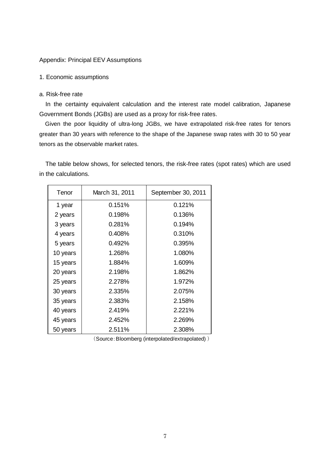#### Appendix: Principal EEV Assumptions

#### 1. Economic assumptions

#### a. Risk-free rate

In the certainty equivalent calculation and the interest rate model calibration, Japanese Government Bonds (JGBs) are used as a proxy for risk-free rates.

Given the poor liquidity of ultra-long JGBs, we have extrapolated risk-free rates for tenors greater than 30 years with reference to the shape of the Japanese swap rates with 30 to 50 year tenors as the observable market rates.

The table below shows, for selected tenors, the risk-free rates (spot rates) which are used in the calculations.

| Tenor    | March 31, 2011 | September 30, 2011 |
|----------|----------------|--------------------|
| 1 year   | 0.151%         | 0.121%             |
| 2 years  | 0.198%         | 0.136%             |
| 3 years  | 0.281%         | 0.194%             |
| 4 years  | 0.408%         | 0.310%             |
| 5 years  | 0.492%         | 0.395%             |
| 10 years | 1.268%         | 1.080%             |
| 15 years | 1.884%         | 1.609%             |
| 20 years | 2.198%         | 1.862%             |
| 25 years | 2.278%         | 1.972%             |
| 30 years | 2.335%         | 2.075%             |
| 35 years | 2.383%         | 2.158%             |
| 40 years | 2.419%         | 2.221%             |
| 45 years | 2.452%         | 2.269%             |
| 50 years | 2.511%         | 2.308%             |

(Source:Bloomberg (interpolated/extrapolated) )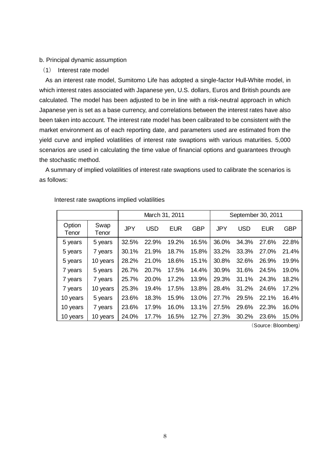#### b. Principal dynamic assumption

(1) Interest rate model

As an interest rate model, Sumitomo Life has adopted a single-factor Hull-White model, in which interest rates associated with Japanese yen, U.S. dollars, Euros and British pounds are calculated. The model has been adjusted to be in line with a risk-neutral approach in which Japanese yen is set as a base currency, and correlations between the interest rates have also been taken into account. The interest rate model has been calibrated to be consistent with the market environment as of each reporting date, and parameters used are estimated from the yield curve and implied volatilities of interest rate swaptions with various maturities. 5,000 scenarios are used in calculating the time value of financial options and guarantees through the stochastic method.

A summary of implied volatilities of interest rate swaptions used to calibrate the scenarios is as follows:

|                 |               |            | March 31, 2011 |            |            | September 30, 2011 |            |            |            |
|-----------------|---------------|------------|----------------|------------|------------|--------------------|------------|------------|------------|
| Option<br>Tenor | Swap<br>Tenor | <b>JPY</b> | <b>USD</b>     | <b>EUR</b> | <b>GBP</b> | <b>JPY</b>         | <b>USD</b> | <b>EUR</b> | <b>GBP</b> |
| 5 years         | 5 years       | 32.5%      | 22.9%          | 19.2%      | 16.5%      | 36.0%              | 34.3%      | 27.6%      | 22.8%      |
| 5 years         | 7 years       | 30.1%      | 21.9%          | 18.7%      | 15.8%      | 33.2%              | 33.3%      | 27.0%      | 21.4%      |
| 5 years         | 10 years      | 28.2%      | 21.0%          | 18.6%      | 15.1%      | 30.8%              | 32.6%      | 26.9%      | 19.9%      |
| 7 years         | 5 years       | 26.7%      | 20.7%          | 17.5%      | 14.4%      | 30.9%              | 31.6%      | 24.5%      | 19.0%      |
| 7 years         | 7 years       | 25.7%      | 20.0%          | 17.2%      | 13.9%      | 29.3%              | 31.1%      | 24.3%      | 18.2%      |
| 7 years         | 10 years      | 25.3%      | 19.4%          | 17.5%      | 13.8%      | 28.4%              | 31.2%      | 24.6%      | 17.2%      |
| 10 years        | 5 years       | 23.6%      | 18.3%          | 15.9%      | 13.0%      | 27.7%              | 29.5%      | 22.1%      | 16.4%      |
| 10 years        | 7 years       | 23.6%      | 17.9%          | 16.0%      | 13.1%      | 27.5%              | 29.6%      | 22.3%      | 16.0%      |
| 10 years        | 10 years      | 24.0%      | 17.7%          | 16.5%      | 12.7%      | 27.3%              | 30.2%      | 23.6%      | 15.0%      |

Interest rate swaptions implied volatilities

(Source:Bloomberg)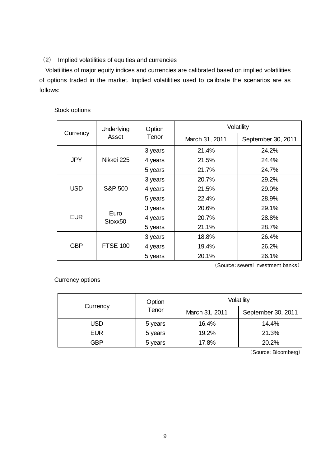# (2) Implied volatilities of equities and currencies

Volatilities of major equity indices and currencies are calibrated based on implied volatilities of options traded in the market. Implied volatilities used to calibrate the scenarios are as follows:

# Stock options

|            | <b>Underlying</b>  | Option  | Volatility     |                    |  |  |
|------------|--------------------|---------|----------------|--------------------|--|--|
| Currency   | Asset              | Tenor   | March 31, 2011 | September 30, 2011 |  |  |
| <b>JPY</b> |                    | 3 years | 21.4%          | 24.2%              |  |  |
|            | Nikkei 225         | 4 years | 21.5%          | 24.4%              |  |  |
|            |                    | 5 years | 21.7%          | 24.7%              |  |  |
| <b>USD</b> |                    | 3 years | 20.7%          | 29.2%              |  |  |
|            | <b>S&amp;P 500</b> | 4 years | 21.5%          | 29.0%              |  |  |
|            |                    | 5 years | 22.4%          | 28.9%              |  |  |
| <b>EUR</b> |                    | 3 years | 20.6%          | 29.1%              |  |  |
|            | Euro<br>Stoxx50    | 4 years | 20.7%          | 28.8%              |  |  |
|            |                    | 5 years | 21.1%          | 28.7%              |  |  |
| <b>GBP</b> |                    | 3 years | 18.8%          | 26.4%              |  |  |
|            | <b>FTSE 100</b>    | 4 years | 19.4%          | 26.2%              |  |  |
|            |                    | 5 years | 20.1%          | 26.1%              |  |  |

(Source:several investment banks)

Currency options

|            | Option  | Volatility     |                    |  |  |  |
|------------|---------|----------------|--------------------|--|--|--|
| Currency   | Tenor   | March 31, 2011 | September 30, 2011 |  |  |  |
| USD        | 5 years | 16.4%          | 14.4%              |  |  |  |
| <b>EUR</b> | 5 years | 19.2%          | 21.3%              |  |  |  |
| GBP        | 5 years |                | 20.2%              |  |  |  |

(Source:Bloomberg)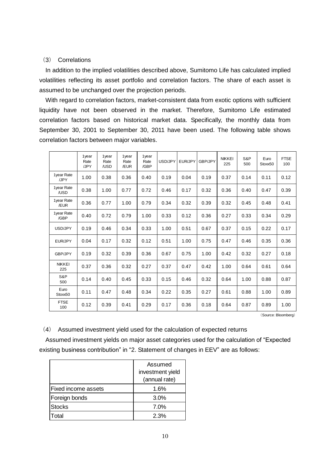#### (3) Correlations

In addition to the implied volatilities described above, Sumitomo Life has calculated implied volatilities reflecting its asset portfolio and correlation factors. The share of each asset is assumed to be unchanged over the projection periods.

With regard to correlation factors, market-consistent data from exotic options with sufficient liquidity have not been observed in the market. Therefore, Sumitomo Life estimated correlation factors based on historical market data. Specifically, the monthly data from September 30, 2001 to September 30, 2011 have been used. The following table shows correlation factors between major variables.

|                      | 1year<br>Rate<br>/JPY | 1year<br>Rate<br>/USD | 1year<br>Rate<br>/EUR | 1year<br>Rate<br>/GBP | USD/JPY | EUR/JPY | GBP/JPY | <b>NIKKEI</b><br>225 | S&P<br>500 | Euro<br>Stoxx50 | <b>FTSE</b><br>100 |
|----------------------|-----------------------|-----------------------|-----------------------|-----------------------|---------|---------|---------|----------------------|------------|-----------------|--------------------|
| 1year Rate<br>/JPY   | 1.00                  | 0.38                  | 0.36                  | 0.40                  | 0.19    | 0.04    | 0.19    | 0.37                 | 0.14       | 0.11            | 0.12               |
| 1year Rate<br>/USD   | 0.38                  | 1.00                  | 0.77                  | 0.72                  | 0.46    | 0.17    | 0.32    | 0.36                 | 0.40       | 0.47            | 0.39               |
| 1year Rate<br>/EUR   | 0.36                  | 0.77                  | 1.00                  | 0.79                  | 0.34    | 0.32    | 0.39    | 0.32                 | 0.45       | 0.48            | 0.41               |
| 1year Rate<br>/GBP   | 0.40                  | 0.72                  | 0.79                  | 1.00                  | 0.33    | 0.12    | 0.36    | 0.27                 | 0.33       | 0.34            | 0.29               |
| USD/JPY              | 0.19                  | 0.46                  | 0.34                  | 0.33                  | 1.00    | 0.51    | 0.67    | 0.37                 | 0.15       | 0.22            | 0.17               |
| EUR/JPY              | 0.04                  | 0.17                  | 0.32                  | 0.12                  | 0.51    | 1.00    | 0.75    | 0.47                 | 0.46       | 0.35            | 0.36               |
| <b>GBP/JPY</b>       | 0.19                  | 0.32                  | 0.39                  | 0.36                  | 0.67    | 0.75    | 1.00    | 0.42                 | 0.32       | 0.27            | 0.18               |
| <b>NIKKEI</b><br>225 | 0.37                  | 0.36                  | 0.32                  | 0.27                  | 0.37    | 0.47    | 0.42    | 1.00                 | 0.64       | 0.61            | 0.64               |
| S&P<br>500           | 0.14                  | 0.40                  | 0.45                  | 0.33                  | 0.15    | 0.46    | 0.32    | 0.64                 | 1.00       | 0.88            | 0.87               |
| Euro<br>Stoxx50      | 0.11                  | 0.47                  | 0.48                  | 0.34                  | 0.22    | 0.35    | 0.27    | 0.61                 | 0.88       | 1.00            | 0.89               |
| <b>FTSE</b><br>100   | 0.12                  | 0.39                  | 0.41                  | 0.29                  | 0.17    | 0.36    | 0.18    | 0.64                 | 0.87       | 0.89            | 1.00               |

(Source:Bloomberg)

(4) Assumed investment yield used for the calculation of expected returns

Assumed investment yields on major asset categories used for the calculation of "Expected existing business contribution" in "2. Statement of changes in EEV" are as follows:

|                            | Assumed          |  |  |  |
|----------------------------|------------------|--|--|--|
|                            | investment yield |  |  |  |
|                            | (annual rate)    |  |  |  |
| <b>Fixed income assets</b> | 1.6%             |  |  |  |
| Foreign bonds              | 3.0%             |  |  |  |
| <b>Stocks</b>              | 7.0%             |  |  |  |
| Total                      | 2.3%             |  |  |  |